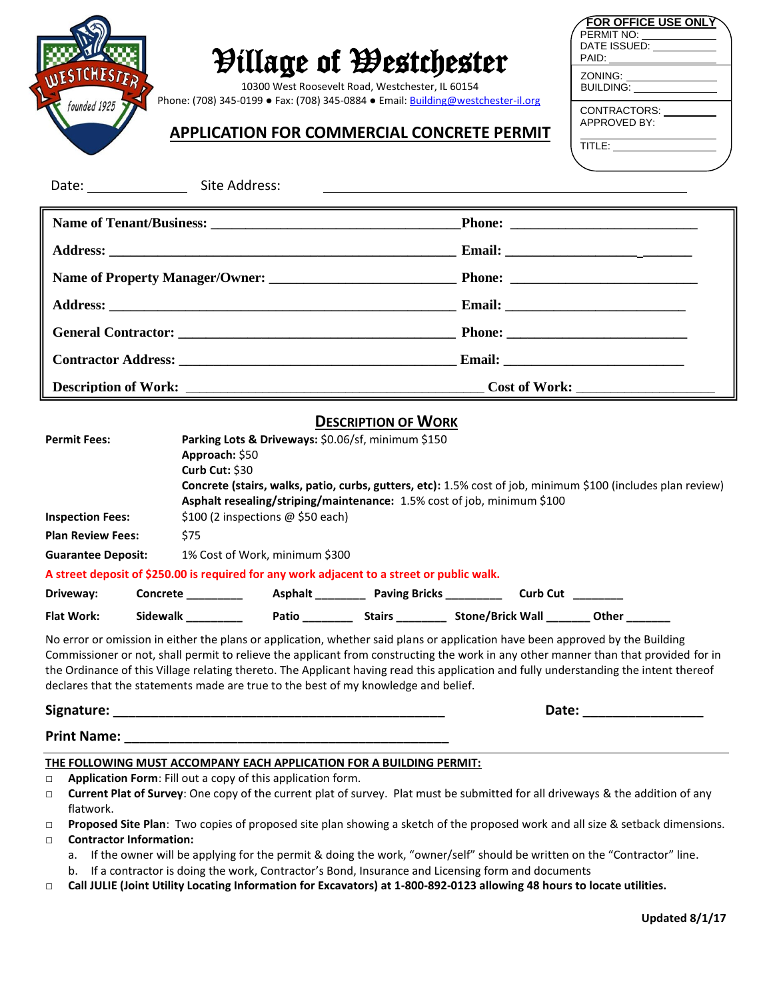

# Village of Westchester

10300 West Roosevelt Road, Westchester, IL 60154 Phone: (708) 345-0199 • Fax: (708) 345-0884 • Email[: Building@westchester-il.org](mailto:Building@westchester-il.org)

## **APPLICATION FOR COMMERCIAL CONCRETE PERMIT**

| <b>FOR OFFICE USE ONLY</b><br>PERMIT NO:<br>DATE ISSUED:<br>PAID: |  |
|-------------------------------------------------------------------|--|
| ZONING:<br>BUILDING:                                              |  |
| CONTRACTORS:<br>APPROVED BY:                                      |  |
| TITLE:                                                            |  |

| Date: $\_\_\_\_\_\_\_\_\_\_\_\_\_\_\_\_\_\_$                                                                                                                                                                                                                                                                    | Site Address:                     |  | <u> 1989 - Johann Stoff, deutscher Stoff, der Stoff, der Stoff, der Stoff, der Stoff, der Stoff, der Stoff, der S</u> |                                                                             |  |  |  |
|-----------------------------------------------------------------------------------------------------------------------------------------------------------------------------------------------------------------------------------------------------------------------------------------------------------------|-----------------------------------|--|-----------------------------------------------------------------------------------------------------------------------|-----------------------------------------------------------------------------|--|--|--|
|                                                                                                                                                                                                                                                                                                                 |                                   |  |                                                                                                                       |                                                                             |  |  |  |
|                                                                                                                                                                                                                                                                                                                 |                                   |  |                                                                                                                       |                                                                             |  |  |  |
|                                                                                                                                                                                                                                                                                                                 |                                   |  |                                                                                                                       |                                                                             |  |  |  |
|                                                                                                                                                                                                                                                                                                                 |                                   |  |                                                                                                                       |                                                                             |  |  |  |
|                                                                                                                                                                                                                                                                                                                 |                                   |  |                                                                                                                       |                                                                             |  |  |  |
|                                                                                                                                                                                                                                                                                                                 |                                   |  |                                                                                                                       |                                                                             |  |  |  |
| <b>Description of Work:</b><br><u> 1989 - Johann Barn, amerikan besteman besteman besteman besteman besteman besteman besteman besteman bestema</u>                                                                                                                                                             |                                   |  | <b>Cost of Work:</b>                                                                                                  |                                                                             |  |  |  |
| <b>DESCRIPTION OF WORK</b>                                                                                                                                                                                                                                                                                      |                                   |  |                                                                                                                       |                                                                             |  |  |  |
| Parking Lots & Driveways: \$0.06/sf, minimum \$150<br><b>Permit Fees:</b><br>Approach: \$50<br><b>Curb Cut: \$30</b><br>Concrete (stairs, walks, patio, curbs, gutters, etc): 1.5% cost of job, minimum \$100 (includes plan review)<br>Asphalt resealing/striping/maintenance: 1.5% cost of job, minimum \$100 |                                   |  |                                                                                                                       |                                                                             |  |  |  |
| <b>Inspection Fees:</b>                                                                                                                                                                                                                                                                                         | \$100 (2 inspections @ \$50 each) |  |                                                                                                                       |                                                                             |  |  |  |
| <b>Plan Review Fees:</b>                                                                                                                                                                                                                                                                                        | \$75                              |  |                                                                                                                       |                                                                             |  |  |  |
| <b>Guarantee Deposit:</b>                                                                                                                                                                                                                                                                                       | 1% Cost of Work, minimum \$300    |  |                                                                                                                       |                                                                             |  |  |  |
| A street deposit of \$250.00 is required for any work adjacent to a street or public walk.                                                                                                                                                                                                                      |                                   |  |                                                                                                                       |                                                                             |  |  |  |
| Driveway:                                                                                                                                                                                                                                                                                                       |                                   |  |                                                                                                                       |                                                                             |  |  |  |
| <b>Flat Work:</b>                                                                                                                                                                                                                                                                                               | Sidewalk ___________              |  |                                                                                                                       | Patio ____________ Stairs _____________ Stone/Brick Wall _________ Other __ |  |  |  |

No error or omission in either the plans or application, whether said plans or application have been approved by the Building Commissioner or not, shall permit to relieve the applicant from constructing the work in any other manner than that provided for in the Ordinance of this Village relating thereto. The Applicant having read this application and fully understanding the intent thereof declares that the statements made are true to the best of my knowledge and belief.

**Signature: \_\_\_\_\_\_\_\_\_\_\_\_\_\_\_\_\_\_\_\_\_\_\_\_\_\_\_\_\_\_\_\_\_\_\_\_\_\_\_\_\_\_\_\_ Date: \_\_\_\_\_\_\_\_\_\_\_\_\_\_\_\_**

## **Print Name: \_\_\_\_\_\_\_\_\_\_\_\_\_\_\_\_\_\_\_\_\_\_\_\_\_\_\_\_\_\_\_\_\_\_\_\_\_\_\_\_\_\_\_**

## **THE FOLLOWING MUST ACCOMPANY EACH APPLICATION FOR A BUILDING PERMIT:**

- **□ Application Form**: Fill out a copy of this application form.
- **□ Current Plat of Survey**: One copy of the current plat of survey. Plat must be submitted for all driveways & the addition of any flatwork.
- □ **Proposed Site Plan**: Two copies of proposed site plan showing a sketch of the proposed work and all size & setback dimensions.

## **□ Contractor Information:**

- a. If the owner will be applying for the permit & doing the work, "owner/self" should be written on the "Contractor" line.
- b. If a contractor is doing the work, Contractor's Bond, Insurance and Licensing form and documents
- **□ Call JULIE (Joint Utility Locating Information for Excavators) at 1-800-892-0123 allowing 48 hours to locate utilities.**